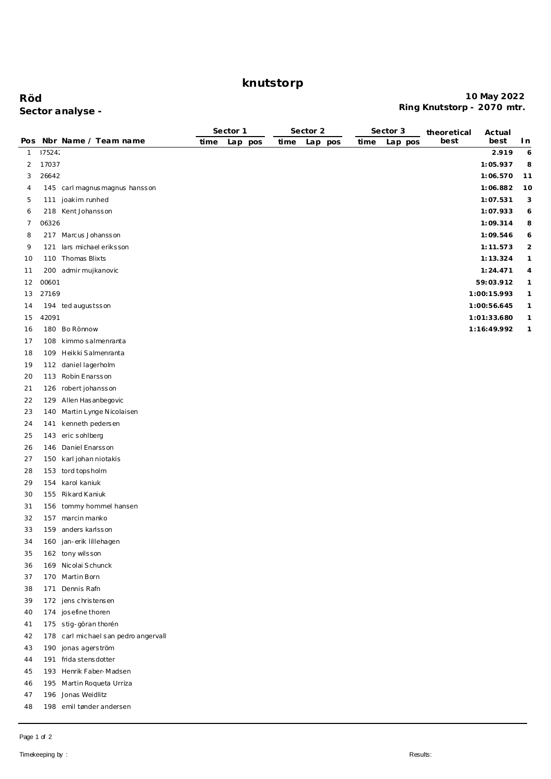# **knutstorp**

### **Röd 10 May 2022 Ring Knutstorp - 2070 mtr. Sector analyse -**

|     |        |                                      | Sector 1 |     | Sector 2 |      |         | Sector 3 | theoretical | Actual |             |                |
|-----|--------|--------------------------------------|----------|-----|----------|------|---------|----------|-------------|--------|-------------|----------------|
| Pos |        | Nbr Name / Team name                 | time     | Lap | pos      | time | Lap pos | time     | Lap pos     | best   | best        | In             |
| 1   | 175242 |                                      |          |     |          |      |         |          |             |        | 2.919       | 6              |
| 2   | 17037  |                                      |          |     |          |      |         |          |             |        | 1:05.937    | 8              |
| 3   | 26642  |                                      |          |     |          |      |         |          |             |        | 1:06.570    | 11             |
| 4   |        | 145 carl magnus magnus hansson       |          |     |          |      |         |          |             |        | 1:06.882    | 10             |
| 5   |        | 111 joakim runhed                    |          |     |          |      |         |          |             |        | 1:07.531    | 3              |
| 6   |        | 218 Kent Johansson                   |          |     |          |      |         |          |             |        | 1:07.933    | 6              |
| 7   | 06326  |                                      |          |     |          |      |         |          |             |        | 1:09.314    | 8              |
| 8   |        | 217 Marcus Johansson                 |          |     |          |      |         |          |             |        | 1:09.546    | 6              |
| 9   | 121    | lars michael eriksson                |          |     |          |      |         |          |             |        | 1:11.573    | $\overline{2}$ |
| 10  |        | 110 Thomas Blixts                    |          |     |          |      |         |          |             |        | 1: 13.324   | $\mathbf{1}$   |
| 11  |        | 200 admir mujkanovic                 |          |     |          |      |         |          |             |        | 1:24.471    | 4              |
| 12  | 00601  |                                      |          |     |          |      |         |          |             |        | 59:03.912   | $\mathbf{1}$   |
| 13  | 27169  |                                      |          |     |          |      |         |          |             |        | 1:00:15.993 | $\mathbf{1}$   |
| 14  |        | 194 ted augustsson                   |          |     |          |      |         |          |             |        | 1:00:56.645 | $\mathbf{1}$   |
| 15  | 42091  |                                      |          |     |          |      |         |          |             |        | 1:01:33.680 | $\mathbf{1}$   |
| 16  |        | 180 Bo Rönnow                        |          |     |          |      |         |          |             |        | 1:16:49.992 | $\mathbf{1}$   |
| 17  |        | 108 kimmo salmenranta                |          |     |          |      |         |          |             |        |             |                |
| 18  |        | 109 Heikki Salmenranta               |          |     |          |      |         |          |             |        |             |                |
| 19  |        | 112 daniel lagerholm                 |          |     |          |      |         |          |             |        |             |                |
| 20  |        | 113 Robin Enarsson                   |          |     |          |      |         |          |             |        |             |                |
| 21  |        | 126 robert johansson                 |          |     |          |      |         |          |             |        |             |                |
| 22  |        | 129 Allen Has anbegovic              |          |     |          |      |         |          |             |        |             |                |
| 23  |        | 140 Martin Lynge Nicolaisen          |          |     |          |      |         |          |             |        |             |                |
| 24  | 141    | kenneth pedersen                     |          |     |          |      |         |          |             |        |             |                |
| 25  |        | 143 eric sohlberg                    |          |     |          |      |         |          |             |        |             |                |
| 26  | 146    | Daniel Enarsson                      |          |     |          |      |         |          |             |        |             |                |
| 27  |        | 150 karl johan niotakis              |          |     |          |      |         |          |             |        |             |                |
| 28  |        | 153 tord topsholm                    |          |     |          |      |         |          |             |        |             |                |
| 29  |        | 154 karol kaniuk                     |          |     |          |      |         |          |             |        |             |                |
|     |        | 155 Rikard Kaniuk                    |          |     |          |      |         |          |             |        |             |                |
| 30  |        |                                      |          |     |          |      |         |          |             |        |             |                |
| 31  |        | 156 tommy hommel hansen              |          |     |          |      |         |          |             |        |             |                |
| 32  |        | 157 marcin manko                     |          |     |          |      |         |          |             |        |             |                |
| 33  |        | 159 anders karlsson                  |          |     |          |      |         |          |             |        |             |                |
| 34  |        | 160 jan-erik lillehagen              |          |     |          |      |         |          |             |        |             |                |
| 35  |        | 162 tony wilsson                     |          |     |          |      |         |          |             |        |             |                |
| 36  |        | 169 Nicolai Schunck                  |          |     |          |      |         |          |             |        |             |                |
| 37  |        | 170 Martin Born                      |          |     |          |      |         |          |             |        |             |                |
| 38  | 171    | Dennis Rafn                          |          |     |          |      |         |          |             |        |             |                |
| 39  |        | 172 jens christensen                 |          |     |          |      |         |          |             |        |             |                |
| 40  |        | 174 josefine thoren                  |          |     |          |      |         |          |             |        |             |                |
| 41  |        | 175 stig-göran thorén                |          |     |          |      |         |          |             |        |             |                |
| 42  |        | 178 carl michael san pedro angervall |          |     |          |      |         |          |             |        |             |                |
| 43  |        | 190 jonas agers tröm                 |          |     |          |      |         |          |             |        |             |                |
| 44  |        | 191 frida stensdotter                |          |     |          |      |         |          |             |        |             |                |
| 45  |        | 193 Henrik Faber-Madsen              |          |     |          |      |         |          |             |        |             |                |
| 46  |        | 195 Martin Roqueta Urriza            |          |     |          |      |         |          |             |        |             |                |
| 47  |        | 196 Jonas Weidlitz                   |          |     |          |      |         |          |             |        |             |                |
| 48  |        | 198 emil tønder andersen             |          |     |          |      |         |          |             |        |             |                |

Page 1 of 2